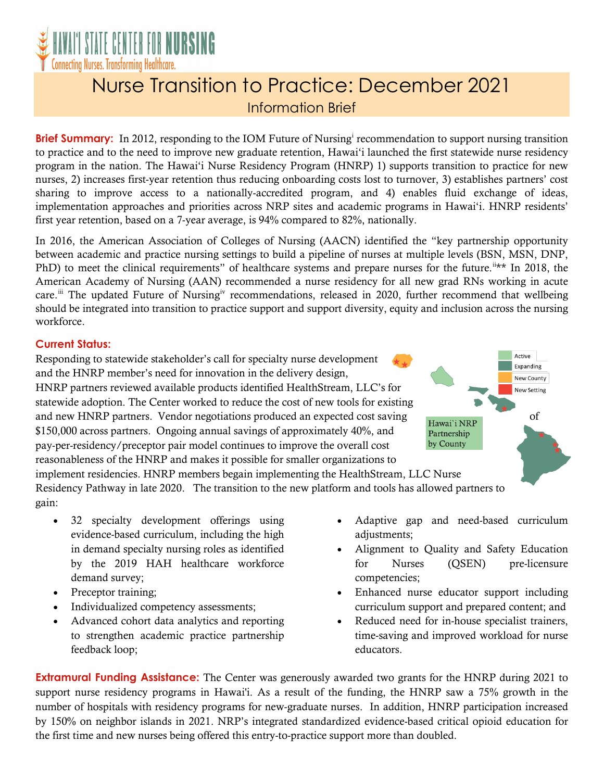

## Nurse Transition to Practice: December 2021 Information Brief

**Br[i](#page-1-0)ef Summary:** In 2012, responding to the IOM Future of Nursing<sup>1</sup> recommendation to support nursing transition to practice and to the need to improve new graduate retention, Hawai'i launched the first statewide nurse residency program in the nation. The Hawai'i Nurse Residency Program (HNRP) 1) supports transition to practice for new nurses, 2) increases first-year retention thus reducing onboarding costs lost to turnover, 3) establishes partners' cost sharing to improve access to a nationally-accredited program, and 4) enables fluid exchange of ideas, implementation approaches and priorities across NRP sites and academic programs in Hawai'i. HNRP residents' first year retention, based on a 7-year average, is 94% compared to 82%, nationally.

In 2016, the American Association of Colleges of Nursing (AACN) identified the "key partnership opportunity between academic and practice nursing settings to build a pipeline of nurses at multiple levels (BSN, MSN, DNP, PhD) to meet the clinical requirements" of healthcare systems and prepare nurses for the future.<sup>[ii](#page-1-1)\*\*</sup> In 2018, the American Academy of Nursing (AAN) recommended a nurse residency for all new grad RNs working in acute care.<sup>[iii](#page-1-2)</sup> The updated Future of Nursing<sup>[iv](#page-1-3)</sup> recommendations, released in 2020, further recommend that wellbeing should be integrated into transition to practice support and support diversity, equity and inclusion across the nursing workforce.

## **Current Status:**

Responding to statewide stakeholder's call for specialty nurse development and the HNRP member's need for innovation in the delivery design, HNRP partners reviewed available products identified HealthStream, LLC's for statewide adoption. The Center worked to reduce the cost of new tools for existing and new HNRP partners. Vendor negotiations produced an expected cost saving Hawai'i NRP of \$150,000 across partners. Ongoing annual savings of approximately 40%, and pay-per-residency/preceptor pair model continues to improve the overall cost reasonableness of the HNRP and makes it possible for smaller organizations to

<span id="page-0-0"></span>

implement residencies. HNRP members begain implementing the HealthStream, LLC Nurse Residency Pathway in late 2020. The transition to the new platform and tools has allowed partners to gain:

- 32 specialty development offerings using evidence-based curriculum, including the high in demand specialty nursing roles as identified by the 2019 HAH healthcare workforce demand survey;
- Preceptor training;
- Individualized competency assessments;
- Advanced cohort data analytics and reporting to strengthen academic practice partnership feedback loop;
- Adaptive gap and need-based curriculum adjustments;
- Alignment to Quality and Safety Education for Nurses (QSEN) pre-licensure competencies;
- Enhanced nurse educator support including curriculum support and prepared content; and
- Reduced need for in-house specialist trainers, time-saving and improved workload for nurse educators.

**Extramural Funding Assistance:** The Center was generously awarded two grants for the HNRP during 2021 to support nurse residency programs in Hawai'i. As a result of the funding, the HNRP saw a 75% growth in the number of hospitals with residency programs for new-graduate nurses. In addition, HNRP participation increased by 150% on neighbor islands in 2021. NRP's integrated standardized evidence-based critical opioid education for the first time and new nurses being offered this entry-to-practice support more than doubled.